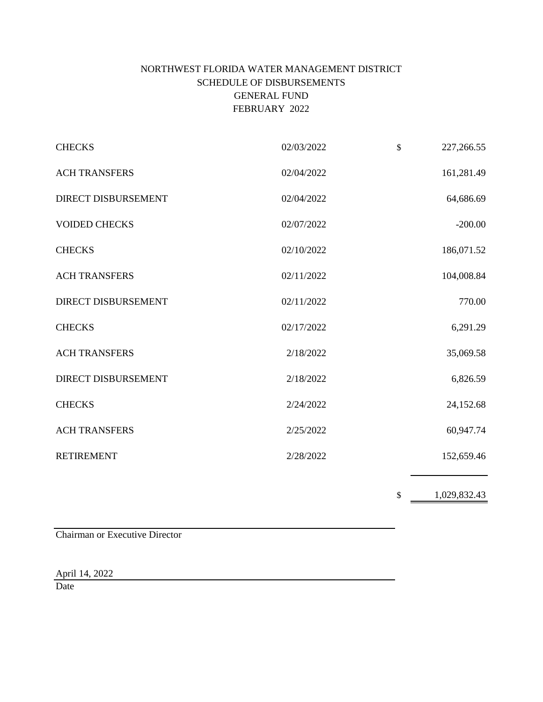# NORTHWEST FLORIDA WATER MANAGEMENT DISTRICT SCHEDULE OF DISBURSEMENTS GENERAL FUND FEBRUARY 2022

| <b>CHECKS</b>              | 02/03/2022 | $\mathbb{S}$ | 227,266.55 |
|----------------------------|------------|--------------|------------|
| <b>ACH TRANSFERS</b>       | 02/04/2022 |              | 161,281.49 |
| <b>DIRECT DISBURSEMENT</b> | 02/04/2022 |              | 64,686.69  |
| <b>VOIDED CHECKS</b>       | 02/07/2022 |              | $-200.00$  |
| <b>CHECKS</b>              | 02/10/2022 |              | 186,071.52 |
| <b>ACH TRANSFERS</b>       | 02/11/2022 |              | 104,008.84 |
| <b>DIRECT DISBURSEMENT</b> | 02/11/2022 |              | 770.00     |
| <b>CHECKS</b>              | 02/17/2022 |              | 6,291.29   |
| <b>ACH TRANSFERS</b>       | 2/18/2022  |              | 35,069.58  |
| <b>DIRECT DISBURSEMENT</b> | 2/18/2022  |              | 6,826.59   |
| <b>CHECKS</b>              | 2/24/2022  |              | 24,152.68  |
| <b>ACH TRANSFERS</b>       | 2/25/2022  |              | 60,947.74  |
| <b>RETIREMENT</b>          | 2/28/2022  |              | 152,659.46 |
|                            |            |              |            |

\$ 1,029,832.43

Chairman or Executive Director

April 14, 2022

Date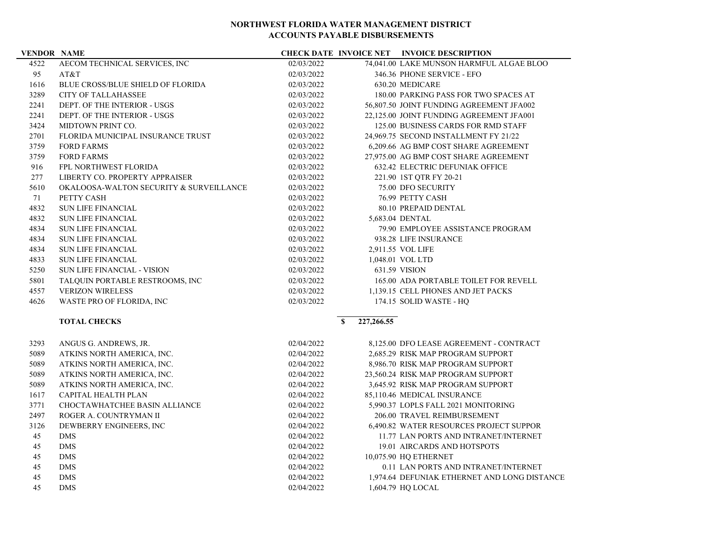### **VENDOR NAME CHECK DATE INVOICE NET INVOICE DESCRIPTION**

| 4522 | AECOM TECHNICAL SERVICES, INC            | 02/03/2022 | 74,041.00 LAKE MUNSON HARMFUL ALGAE BLOO |
|------|------------------------------------------|------------|------------------------------------------|
| 95   | AT&T                                     | 02/03/2022 | 346.36 PHONE SERVICE - EFO               |
| 1616 | <b>BLUE CROSS/BLUE SHIELD OF FLORIDA</b> | 02/03/2022 | 630.20 MEDICARE                          |
| 3289 | <b>CITY OF TALLAHASSEE</b>               | 02/03/2022 | 180.00 PARKING PASS FOR TWO SPACES AT    |
| 2241 | DEPT. OF THE INTERIOR - USGS             | 02/03/2022 | 56,807.50 JOINT FUNDING AGREEMENT JFA002 |
| 2241 | DEPT. OF THE INTERIOR - USGS             | 02/03/2022 | 22,125.00 JOINT FUNDING AGREEMENT JFA001 |
| 3424 | MIDTOWN PRINT CO.                        | 02/03/2022 | 125.00 BUSINESS CARDS FOR RMD STAFF      |
| 2701 | FLORIDA MUNICIPAL INSURANCE TRUST        | 02/03/2022 | 24,969.75 SECOND INSTALLMENT FY 21/22    |
| 3759 | <b>FORD FARMS</b>                        | 02/03/2022 | 6,209.66 AG BMP COST SHARE AGREEMENT     |
| 3759 | <b>FORD FARMS</b>                        | 02/03/2022 | 27,975.00 AG BMP COST SHARE AGREEMENT    |
| 916  | <b>FPL NORTHWEST FLORIDA</b>             | 02/03/2022 | <b>632.42 ELECTRIC DEFUNIAK OFFICE</b>   |
| 277  | LIBERTY CO. PROPERTY APPRAISER           | 02/03/2022 | 221.90 1ST QTR FY 20-21                  |
| 5610 | OKALOOSA-WALTON SECURITY & SURVEILLANCE  | 02/03/2022 | 75.00 DFO SECURITY                       |
| 71   | PETTY CASH                               | 02/03/2022 | 76.99 PETTY CASH                         |
| 4832 | <b>SUN LIFE FINANCIAL</b>                | 02/03/2022 | 80.10 PREPAID DENTAL                     |
| 4832 | <b>SUN LIFE FINANCIAL</b>                | 02/03/2022 | 5,683.04 DENTAL                          |
| 4834 | <b>SUN LIFE FINANCIAL</b>                | 02/03/2022 | 79.90 EMPLOYEE ASSISTANCE PROGRAM        |
| 4834 | <b>SUN LIFE FINANCIAL</b>                | 02/03/2022 | 938.28 LIFE INSURANCE                    |
| 4834 | <b>SUN LIFE FINANCIAL</b>                | 02/03/2022 | 2,911.55 VOL LIFE                        |
| 4833 | <b>SUN LIFE FINANCIAL</b>                | 02/03/2022 | 1,048.01 VOL LTD                         |
| 5250 | SUN LIFE FINANCIAL - VISION              | 02/03/2022 | 631.59 VISION                            |
| 5801 | TALQUIN PORTABLE RESTROOMS, INC          | 02/03/2022 | 165.00 ADA PORTABLE TOILET FOR REVELL    |
| 4557 | <b>VERIZON WIRELESS</b>                  | 02/03/2022 | 1,139.15 CELL PHONES AND JET PACKS       |
| 4626 | WASTE PRO OF FLORIDA, INC                | 02/03/2022 | 174.15 SOLID WASTE - HQ                  |
|      |                                          |            |                                          |

## **TOTAL CHECKS 8** 227,266.55

| 3293 | ANGUS G. ANDREWS, JR.         | 02/04/2022 | 8,125.00 DFO LEASE AGREEMENT - CONTRACT      |
|------|-------------------------------|------------|----------------------------------------------|
| 5089 | ATKINS NORTH AMERICA, INC.    | 02/04/2022 | 2.685.29 RISK MAP PROGRAM SUPPORT            |
| 5089 | ATKINS NORTH AMERICA, INC.    | 02/04/2022 | 8,986.70 RISK MAP PROGRAM SUPPORT            |
| 5089 | ATKINS NORTH AMERICA, INC.    | 02/04/2022 | 23.560.24 RISK MAP PROGRAM SUPPORT           |
| 5089 | ATKINS NORTH AMERICA, INC.    | 02/04/2022 | 3,645.92 RISK MAP PROGRAM SUPPORT            |
| 1617 | <b>CAPITAL HEALTH PLAN</b>    | 02/04/2022 | 85,110.46 MEDICAL INSURANCE                  |
| 3771 | CHOCTAWHATCHEE BASIN ALLIANCE | 02/04/2022 | 5,990.37 LOPLS FALL 2021 MONITORING          |
| 2497 | ROGER A. COUNTRYMAN II        | 02/04/2022 | 206.00 TRAVEL REIMBURSEMENT                  |
| 3126 | DEWBERRY ENGINEERS, INC.      | 02/04/2022 | 6,490.82 WATER RESOURCES PROJECT SUPPOR      |
| 45   | <b>DMS</b>                    | 02/04/2022 | 11.77 LAN PORTS AND INTRANET/INTERNET        |
| 45   | <b>DMS</b>                    | 02/04/2022 | 19.01 AIRCARDS AND HOTSPOTS                  |
| 45   | <b>DMS</b>                    | 02/04/2022 | 10,075.90 HO ETHERNET                        |
| 45   | <b>DMS</b>                    | 02/04/2022 | 0.11 LAN PORTS AND INTRANET/INTERNET         |
| 45   | <b>DMS</b>                    | 02/04/2022 | 1.974.64 DEFUNIAK ETHERNET AND LONG DISTANCE |
| 45   | <b>DMS</b>                    | 02/04/2022 | 1,604.79 HO LOCAL                            |
|      |                               |            |                                              |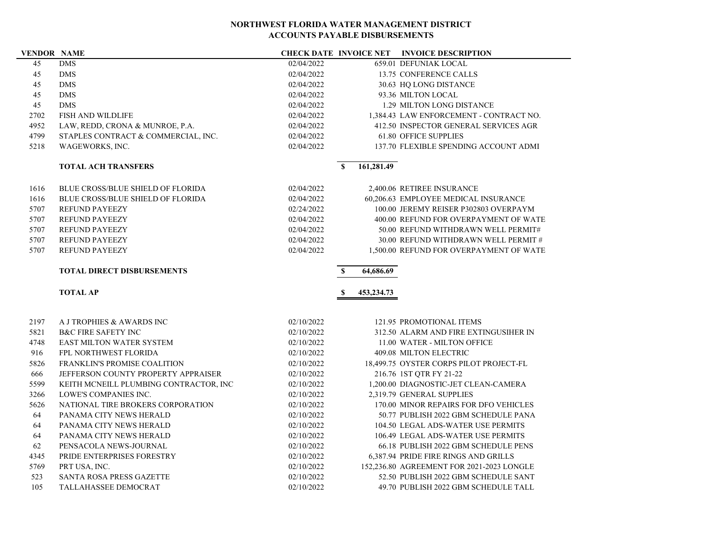### *CHECK DATE* **INVOICE NET INVOICE DESCRIPTION**

| 45          | <b>DMS</b>                                                 | 02/04/2022               |              |            | 659.01 DEFUNIAK LOCAL                                             |
|-------------|------------------------------------------------------------|--------------------------|--------------|------------|-------------------------------------------------------------------|
| 45          | <b>DMS</b>                                                 | 02/04/2022               |              |            | 13.75 CONFERENCE CALLS                                            |
| 45          | <b>DMS</b>                                                 | 02/04/2022               |              |            | 30.63 HQ LONG DISTANCE                                            |
| 45          | <b>DMS</b>                                                 | 02/04/2022               |              |            | 93.36 MILTON LOCAL                                                |
| 45          | <b>DMS</b>                                                 | 02/04/2022               |              |            | 1.29 MILTON LONG DISTANCE                                         |
| 2702        | <b>FISH AND WILDLIFE</b>                                   | 02/04/2022               |              |            | 1.384.43 LAW ENFORCEMENT - CONTRACT NO.                           |
| 4952        | LAW, REDD, CRONA & MUNROE, P.A.                            | 02/04/2022               |              |            | 412.50 INSPECTOR GENERAL SERVICES AGR                             |
| 4799        | STAPLES CONTRACT & COMMERCIAL, INC.                        | 02/04/2022               |              |            | <b>61.80 OFFICE SUPPLIES</b>                                      |
| 5218        | WAGEWORKS, INC.                                            | 02/04/2022               |              |            | 137.70 FLEXIBLE SPENDING ACCOUNT ADMI                             |
|             | <b>TOTAL ACH TRANSFERS</b>                                 |                          | $\mathbf{s}$ | 161,281.49 |                                                                   |
| 1616        | <b>BLUE CROSS/BLUE SHIELD OF FLORIDA</b>                   | 02/04/2022               |              |            | 2,400.06 RETIREE INSURANCE                                        |
| 1616        | <b>BLUE CROSS/BLUE SHIELD OF FLORIDA</b>                   | 02/04/2022               |              |            | 60,206.63 EMPLOYEE MEDICAL INSURANCE                              |
| 5707        | <b>REFUND PAYEEZY</b>                                      | 02/24/2022               |              |            | 100.00 JEREMY REISER P302803 OVERPAYM                             |
| 5707        | <b>REFUND PAYEEZY</b>                                      | 02/04/2022               |              |            | 400.00 REFUND FOR OVERPAYMENT OF WATE                             |
| 5707        | <b>REFUND PAYEEZY</b>                                      | 02/04/2022               |              |            | 50.00 REFUND WITHDRAWN WELL PERMIT#                               |
| 5707        | <b>REFUND PAYEEZY</b>                                      | 02/04/2022               |              |            | 30.00 REFUND WITHDRAWN WELL PERMIT #                              |
| 5707        | <b>REFUND PAYEEZY</b>                                      | 02/04/2022               |              |            | 1,500.00 REFUND FOR OVERPAYMENT OF WATE                           |
|             | <b>TOTAL DIRECT DISBURSEMENTS</b>                          |                          | S            | 64,686.69  |                                                                   |
|             |                                                            |                          |              |            |                                                                   |
|             | <b>TOTAL AP</b>                                            |                          | -S           | 453,234.73 |                                                                   |
|             |                                                            |                          |              |            |                                                                   |
| 2197        | A J TROPHIES & AWARDS INC                                  | 02/10/2022               |              |            | 121.95 PROMOTIONAL ITEMS<br>312.50 ALARM AND FIRE EXTINGUSIHER IN |
| 5821        | <b>B&amp;C FIRE SAFETY INC</b><br>EAST MILTON WATER SYSTEM | 02/10/2022<br>02/10/2022 |              |            | 11.00 WATER - MILTON OFFICE                                       |
| 4748<br>916 | FPL NORTHWEST FLORIDA                                      | 02/10/2022               |              |            | 409.08 MILTON ELECTRIC                                            |
| 5826        | <b>FRANKLIN'S PROMISE COALITION</b>                        | 02/10/2022               |              |            | 18,499.75 OYSTER CORPS PILOT PROJECT-FL                           |
| 666         | JEFFERSON COUNTY PROPERTY APPRAISER                        | 02/10/2022               |              |            | 216.76 1ST QTR FY 21-22                                           |
| 5599        | KEITH MCNEILL PLUMBING CONTRACTOR, INC                     | 02/10/2022               |              |            | 1,200.00 DIAGNOSTIC-JET CLEAN-CAMERA                              |
| 3266        | <b>LOWE'S COMPANIES INC.</b>                               | 02/10/2022               |              |            | 2,319.79 GENERAL SUPPLIES                                         |
| 5626        | NATIONAL TIRE BROKERS CORPORATION                          | 02/10/2022               |              |            | 170.00 MINOR REPAIRS FOR DFO VEHICLES                             |
| 64          | PANAMA CITY NEWS HERALD                                    | 02/10/2022               |              |            | 50.77 PUBLISH 2022 GBM SCHEDULE PANA                              |
| 64          | PANAMA CITY NEWS HERALD                                    | 02/10/2022               |              |            | 104.50 LEGAL ADS-WATER USE PERMITS                                |
| 64          | PANAMA CITY NEWS HERALD                                    | 02/10/2022               |              |            | 106.49 LEGAL ADS-WATER USE PERMITS                                |
| 62          | PENSACOLA NEWS-JOURNAL                                     | 02/10/2022               |              |            | 66.18 PUBLISH 2022 GBM SCHEDULE PENS                              |
| 4345        | PRIDE ENTERPRISES FORESTRY                                 | 02/10/2022               |              |            | 6,387.94 PRIDE FIRE RINGS AND GRILLS                              |
| 5769        | PRT USA, INC.                                              | 02/10/2022               |              |            | 152,236.80 AGREEMENT FOR 2021-2023 LONGLE                         |
| 523         | SANTA ROSA PRESS GAZETTE                                   | 02/10/2022               |              |            | 52.50 PUBLISH 2022 GBM SCHEDULE SANT                              |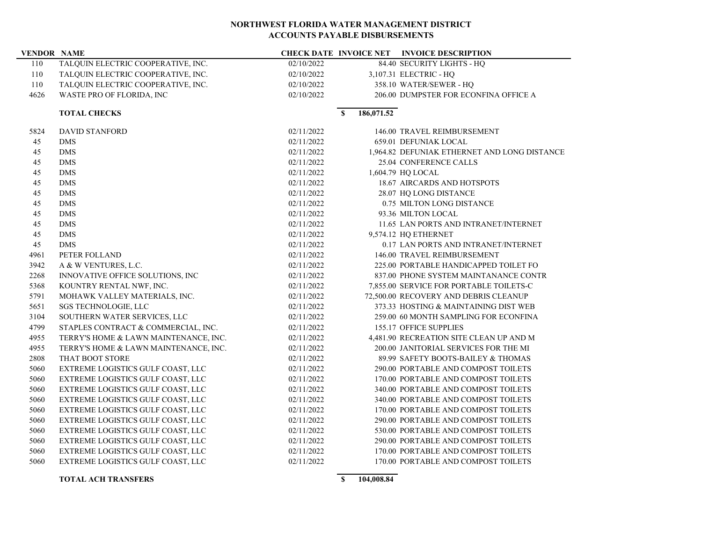÷,

| <b>VENDOR NAME</b> |                                       |            |              |            | <b>CHECK DATE INVOICE NET INVOICE DESCRIPTION</b> |
|--------------------|---------------------------------------|------------|--------------|------------|---------------------------------------------------|
| 110                | TALQUIN ELECTRIC COOPERATIVE, INC.    | 02/10/2022 |              |            | 84.40 SECURITY LIGHTS - HQ                        |
| 110                | TALQUIN ELECTRIC COOPERATIVE, INC.    | 02/10/2022 |              |            | 3,107.31 ELECTRIC - HQ                            |
| 110                | TALQUIN ELECTRIC COOPERATIVE, INC.    | 02/10/2022 |              |            | 358.10 WATER/SEWER - HQ                           |
| 4626               | WASTE PRO OF FLORIDA, INC             | 02/10/2022 |              |            | 206.00 DUMPSTER FOR ECONFINA OFFICE A             |
|                    | <b>TOTAL CHECKS</b>                   |            | $\mathbf{s}$ | 186,071.52 |                                                   |
| 5824               | <b>DAVID STANFORD</b>                 | 02/11/2022 |              |            | 146.00 TRAVEL REIMBURSEMENT                       |
| 45                 | <b>DMS</b>                            | 02/11/2022 |              |            | 659.01 DEFUNIAK LOCAL                             |
| 45                 | <b>DMS</b>                            | 02/11/2022 |              |            | 1,964.82 DEFUNIAK ETHERNET AND LONG DISTANCE      |
| 45                 | <b>DMS</b>                            | 02/11/2022 |              |            | 25.04 CONFERENCE CALLS                            |
| 45                 | <b>DMS</b>                            | 02/11/2022 |              |            | 1,604.79 HQ LOCAL                                 |
| 45                 | <b>DMS</b>                            | 02/11/2022 |              |            | 18.67 AIRCARDS AND HOTSPOTS                       |
| 45                 | <b>DMS</b>                            | 02/11/2022 |              |            | 28.07 HQ LONG DISTANCE                            |
| 45                 | <b>DMS</b>                            | 02/11/2022 |              |            | 0.75 MILTON LONG DISTANCE                         |
| 45                 | <b>DMS</b>                            | 02/11/2022 |              |            | 93.36 MILTON LOCAL                                |
| 45                 | <b>DMS</b>                            | 02/11/2022 |              |            | 11.65 LAN PORTS AND INTRANET/INTERNET             |
| 45                 | <b>DMS</b>                            | 02/11/2022 |              |            | 9,574.12 HQ ETHERNET                              |
| 45                 | <b>DMS</b>                            | 02/11/2022 |              |            | 0.17 LAN PORTS AND INTRANET/INTERNET              |
| 4961               | PETER FOLLAND                         | 02/11/2022 |              |            | 146.00 TRAVEL REIMBURSEMENT                       |
| 3942               | A & W VENTURES, L.C.                  | 02/11/2022 |              |            | 225.00 PORTABLE HANDICAPPED TOILET FO             |
| 2268               | INNOVATIVE OFFICE SOLUTIONS, INC      | 02/11/2022 |              |            | 837.00 PHONE SYSTEM MAINTANANCE CONTR             |
| 5368               | KOUNTRY RENTAL NWF, INC.              | 02/11/2022 |              |            | 7,855.00 SERVICE FOR PORTABLE TOILETS-C           |
| 5791               | MOHAWK VALLEY MATERIALS, INC.         | 02/11/2022 |              |            | 72,500.00 RECOVERY AND DEBRIS CLEANUP             |
| 5651               | SGS TECHNOLOGIE, LLC                  | 02/11/2022 |              |            | 373.33 HOSTING & MAINTAINING DIST WEB             |
| 3104               | SOUTHERN WATER SERVICES, LLC          | 02/11/2022 |              |            | 259.00 60 MONTH SAMPLING FOR ECONFINA             |
| 4799               | STAPLES CONTRACT & COMMERCIAL, INC.   | 02/11/2022 |              |            | 155.17 OFFICE SUPPLIES                            |
| 4955               | TERRY'S HOME & LAWN MAINTENANCE, INC. | 02/11/2022 |              |            | 4,481.90 RECREATION SITE CLEAN UP AND M           |
| 4955               | TERRY'S HOME & LAWN MAINTENANCE, INC. | 02/11/2022 |              |            | 200.00 JANITORIAL SERVICES FOR THE MI             |
| 2808               | THAT BOOT STORE                       | 02/11/2022 |              |            | 89.99 SAFETY BOOTS-BAILEY & THOMAS                |
| 5060               | EXTREME LOGISTICS GULF COAST, LLC     | 02/11/2022 |              |            | 290.00 PORTABLE AND COMPOST TOILETS               |
| 5060               | EXTREME LOGISTICS GULF COAST, LLC     | 02/11/2022 |              |            | 170.00 PORTABLE AND COMPOST TOILETS               |
| 5060               | EXTREME LOGISTICS GULF COAST, LLC     | 02/11/2022 |              |            | 340.00 PORTABLE AND COMPOST TOILETS               |
| 5060               | EXTREME LOGISTICS GULF COAST, LLC     | 02/11/2022 |              |            | 340.00 PORTABLE AND COMPOST TOILETS               |
| 5060               | EXTREME LOGISTICS GULF COAST, LLC     | 02/11/2022 |              |            | 170.00 PORTABLE AND COMPOST TOILETS               |
| 5060               | EXTREME LOGISTICS GULF COAST, LLC     | 02/11/2022 |              |            | 290.00 PORTABLE AND COMPOST TOILETS               |
| 5060               | EXTREME LOGISTICS GULF COAST, LLC     | 02/11/2022 |              |            | 530.00 PORTABLE AND COMPOST TOILETS               |
| 5060               | EXTREME LOGISTICS GULF COAST, LLC     | 02/11/2022 |              |            | 290.00 PORTABLE AND COMPOST TOILETS               |
| 5060               | EXTREME LOGISTICS GULF COAST, LLC     | 02/11/2022 |              |            | 170.00 PORTABLE AND COMPOST TOILETS               |
| 5060               | EXTREME LOGISTICS GULF COAST, LLC     | 02/11/2022 |              |            | 170.00 PORTABLE AND COMPOST TOILETS               |
|                    |                                       |            |              |            |                                                   |

**TOTAL ACH TRANSFERS \$** 104,008.84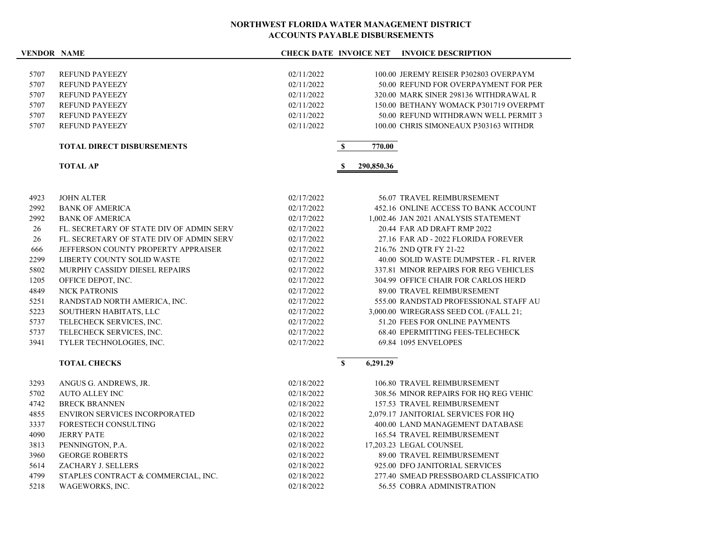### **VENDOR NAME CHECK DATE INVOICE NET INVOICE DESCRIPTION**

|      | <b>TOTAL DIRECT DISBURSEMENTS</b> |            | 770.00                                |
|------|-----------------------------------|------------|---------------------------------------|
| 5707 | <b>REFUND PAYEEZY</b>             | 02/11/2022 | 100.00 CHRIS SIMONEAUX P303163 WITHDR |
| 5707 | <b>REFUND PAYEEZY</b>             | 02/11/2022 | 50.00 REFUND WITHDRAWN WELL PERMIT 3  |
| 5707 | <b>REFUND PAYEEZY</b>             | 02/11/2022 | 150.00 BETHANY WOMACK P301719 OVERPMT |
| 5707 | <b>REFUND PAYEEZY</b>             | 02/11/2022 | 320.00 MARK SINER 298136 WITHDRAWAL R |
| 5707 | <b>REFUND PAYEEZY</b>             | 02/11/2022 | 50.00 REFUND FOR OVERPAYMENT FOR PER  |
| 5707 | <b>REFUND PAYEEZY</b>             | 02/11/2022 | 100.00 JEREMY REISER P302803 OVERPAYM |
|      |                                   |            |                                       |

**TOTAL AP \$ 290,850.36**

| <b>JOHN ALTER</b>                        | 02/17/2022 | 56.07 TRAVEL REIMBURSEMENT              |
|------------------------------------------|------------|-----------------------------------------|
| <b>BANK OF AMERICA</b>                   | 02/17/2022 | 452.16 ONLINE ACCESS TO BANK ACCOUNT    |
| <b>BANK OF AMERICA</b>                   | 02/17/2022 | 1,002.46 JAN 2021 ANALYSIS STATEMENT    |
| FL. SECRETARY OF STATE DIV OF ADMIN SERV | 02/17/2022 | 20.44 FAR AD DRAFT RMP 2022             |
| FL. SECRETARY OF STATE DIV OF ADMIN SERV | 02/17/2022 | 27.16 FAR AD - 2022 FLORIDA FOREVER     |
| JEFFERSON COUNTY PROPERTY APPRAISER      | 02/17/2022 | 216.76 2ND OTR FY 21-22                 |
| LIBERTY COUNTY SOLID WASTE               | 02/17/2022 | 40.00 SOLID WASTE DUMPSTER - FL RIVER   |
| MURPHY CASSIDY DIESEL REPAIRS            | 02/17/2022 | 337.81 MINOR REPAIRS FOR REG VEHICLES   |
| OFFICE DEPOT, INC.                       | 02/17/2022 | 304.99 OFFICE CHAIR FOR CARLOS HERD     |
| <b>NICK PATRONIS</b>                     | 02/17/2022 | 89.00 TRAVEL REIMBURSEMENT              |
| RANDSTAD NORTH AMERICA, INC.             | 02/17/2022 | 555.00 RANDSTAD PROFESSIONAL STAFF AU   |
| SOUTHERN HABITATS, LLC                   | 02/17/2022 | 3,000.00 WIREGRASS SEED COL (/FALL 21:  |
| TELECHECK SERVICES, INC.                 | 02/17/2022 | 51.20 FEES FOR ONLINE PAYMENTS          |
| TELECHECK SERVICES, INC.                 | 02/17/2022 | <b>68.40 EPERMITTING FEES-TELECHECK</b> |
| TYLER TECHNOLOGIES, INC.                 | 02/17/2022 | 69.84 1095 ENVELOPES                    |
|                                          |            |                                         |

## **TOTAL CHECKS 8** 6,291.29

| 3293 | ANGUS G. ANDREWS, JR.                | 02/18/2022 | 106.80 TRAVEL REIMBURSEMENT           |
|------|--------------------------------------|------------|---------------------------------------|
| 5702 | AUTO ALLEY INC                       | 02/18/2022 | 308.56 MINOR REPAIRS FOR HO REG VEHIC |
| 4742 | <b>BRECK BRANNEN</b>                 | 02/18/2022 | 157.53 TRAVEL REIMBURSEMENT           |
| 4855 | <b>ENVIRON SERVICES INCORPORATED</b> | 02/18/2022 | 2,079.17 JANITORIAL SERVICES FOR HO   |
| 3337 | FORESTECH CONSULTING                 | 02/18/2022 | 400.00 LAND MANAGEMENT DATABASE       |
| 4090 | <b>JERRY PATE</b>                    | 02/18/2022 | <b>165.54 TRAVEL REIMBURSEMENT</b>    |
| 3813 | PENNINGTON, P.A.                     | 02/18/2022 | 17,203.23 LEGAL COUNSEL               |
| 3960 | <b>GEORGE ROBERTS</b>                | 02/18/2022 | 89.00 TRAVEL REIMBURSEMENT            |
| 5614 | ZACHARY J. SELLERS                   | 02/18/2022 | 925.00 DFO JANITORIAL SERVICES        |
| 4799 | STAPLES CONTRACT & COMMERCIAL, INC.  | 02/18/2022 | 277.40 SMEAD PRESSBOARD CLASSIFICATIO |
| 5218 | WAGEWORKS, INC.                      | 02/18/2022 | 56.55 COBRA ADMINISTRATION            |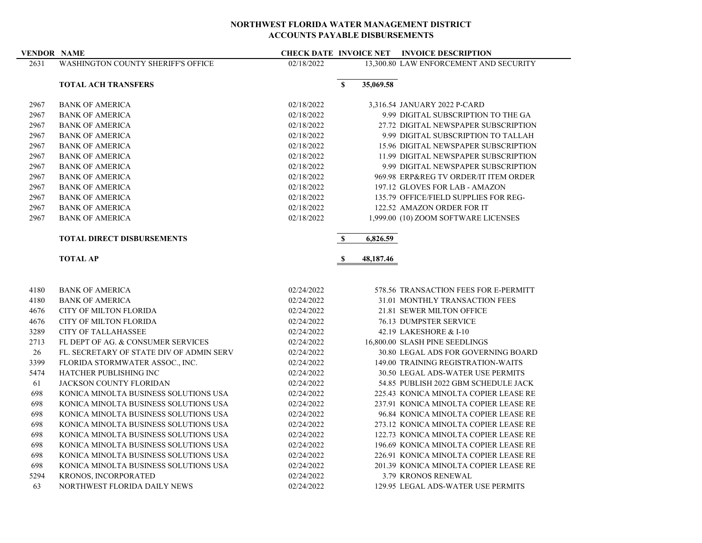### **VENDOR NAME CHECK DATE INVOICE NET INVOICE DESCRIPTION**

| 2631 | WASHINGTON COUNTY SHERIFF'S OFFICE | 02/18/2022 |           | 13,300.80 LAW ENFORCEMENT AND SECURITY |
|------|------------------------------------|------------|-----------|----------------------------------------|
|      | <b>TOTAL ACH TRANSFERS</b>         | \$         | 35,069.58 |                                        |
| 2967 | <b>BANK OF AMERICA</b>             | 02/18/2022 |           | 3,316.54 JANUARY 2022 P-CARD           |
| 2967 | <b>BANK OF AMERICA</b>             | 02/18/2022 |           | 9.99 DIGITAL SUBSCRIPTION TO THE GA    |
| 2967 | <b>BANK OF AMERICA</b>             | 02/18/2022 |           | 27.72 DIGITAL NEWSPAPER SUBSCRIPTION   |
| 2967 | <b>BANK OF AMERICA</b>             | 02/18/2022 |           | 9.99 DIGITAL SUBSCRIPTION TO TALLAH    |
| 2967 | <b>BANK OF AMERICA</b>             | 02/18/2022 |           | 15.96 DIGITAL NEWSPAPER SUBSCRIPTION   |
| 2967 | <b>BANK OF AMERICA</b>             | 02/18/2022 |           | 11.99 DIGITAL NEWSPAPER SUBSCRIPTION   |
| 2967 | <b>BANK OF AMERICA</b>             | 02/18/2022 |           | 9.99 DIGITAL NEWSPAPER SUBSCRIPTION    |
| 2967 | <b>BANK OF AMERICA</b>             | 02/18/2022 |           | 969.98 ERP® TV ORDER/IT ITEM ORDER     |
| 2967 | <b>BANK OF AMERICA</b>             | 02/18/2022 |           | 197.12 GLOVES FOR LAB - AMAZON         |
| 2967 | <b>BANK OF AMERICA</b>             | 02/18/2022 |           | 135.79 OFFICE/FIELD SUPPLIES FOR REG-  |
| 2967 | <b>BANK OF AMERICA</b>             | 02/18/2022 |           | 122.52 AMAZON ORDER FOR IT             |
| 2967 | <b>BANK OF AMERICA</b>             | 02/18/2022 |           | 1,999.00 (10) ZOOM SOFTWARE LICENSES   |
|      |                                    |            |           |                                        |

## **TOTAL DIRECT DISBURSEMENTS \$ 6,826.59**

**TOTAL AP 8** 48,187.46

| 4180 | <b>BANK OF AMERICA</b>                   | 02/24/2022 | 578.56 TRANSACTION FEES FOR E-PERMITT    |  |
|------|------------------------------------------|------------|------------------------------------------|--|
| 4180 | <b>BANK OF AMERICA</b>                   | 02/24/2022 | 31.01 MONTHLY TRANSACTION FEES           |  |
| 4676 | <b>CITY OF MILTON FLORIDA</b>            | 02/24/2022 | 21.81 SEWER MILTON OFFICE                |  |
| 4676 | <b>CITY OF MILTON FLORIDA</b>            | 02/24/2022 | <b>76.13 DUMPSTER SERVICE</b>            |  |
| 3289 | <b>CITY OF TALLAHASSEE</b>               | 02/24/2022 | 42.19 LAKESHORE & I-10                   |  |
| 2713 | FL DEPT OF AG. & CONSUMER SERVICES       | 02/24/2022 | 16,800.00 SLASH PINE SEEDLINGS           |  |
| 26   | FL. SECRETARY OF STATE DIV OF ADMIN SERV | 02/24/2022 | 30.80 LEGAL ADS FOR GOVERNING BOARD      |  |
| 3399 | FLORIDA STORMWATER ASSOC., INC.          | 02/24/2022 | 149.00 TRAINING REGISTRATION-WAITS       |  |
| 5474 | <b>HATCHER PUBLISHING INC.</b>           | 02/24/2022 | <b>30.50 LEGAL ADS-WATER USE PERMITS</b> |  |
| 61   | JACKSON COUNTY FLORIDAN                  | 02/24/2022 | 54.85 PUBLISH 2022 GBM SCHEDULE JACK     |  |
| 698  | KONICA MINOLTA BUSINESS SOLUTIONS USA    | 02/24/2022 | 225.43 KONICA MINOLTA COPIER LEASE RE    |  |
| 698  | KONICA MINOLTA BUSINESS SOLUTIONS USA    | 02/24/2022 | 237.91 KONICA MINOLTA COPIER LEASE RE    |  |
| 698  | KONICA MINOLTA BUSINESS SOLUTIONS USA    | 02/24/2022 | 96.84 KONICA MINOLTA COPIER LEASE RE     |  |
| 698  | KONICA MINOLTA BUSINESS SOLUTIONS USA    | 02/24/2022 | 273.12 KONICA MINOLTA COPIER LEASE RE    |  |
| 698  | KONICA MINOLTA BUSINESS SOLUTIONS USA    | 02/24/2022 | 122.73 KONICA MINOLTA COPIER LEASE RE    |  |
| 698  | KONICA MINOLTA BUSINESS SOLUTIONS USA    | 02/24/2022 | 196.69 KONICA MINOLTA COPIER LEASE RE    |  |
| 698  | KONICA MINOLTA BUSINESS SOLUTIONS USA    | 02/24/2022 | 226.91 KONICA MINOLTA COPIER LEASE RE    |  |
| 698  | KONICA MINOLTA BUSINESS SOLUTIONS USA    | 02/24/2022 | 201.39 KONICA MINOLTA COPIER LEASE RE    |  |
| 5294 | KRONOS, INCORPORATED                     | 02/24/2022 | 3.79 KRONOS RENEWAL                      |  |
| 63   | NORTHWEST FLORIDA DAILY NEWS             | 02/24/2022 | 129.95 LEGAL ADS-WATER USE PERMITS       |  |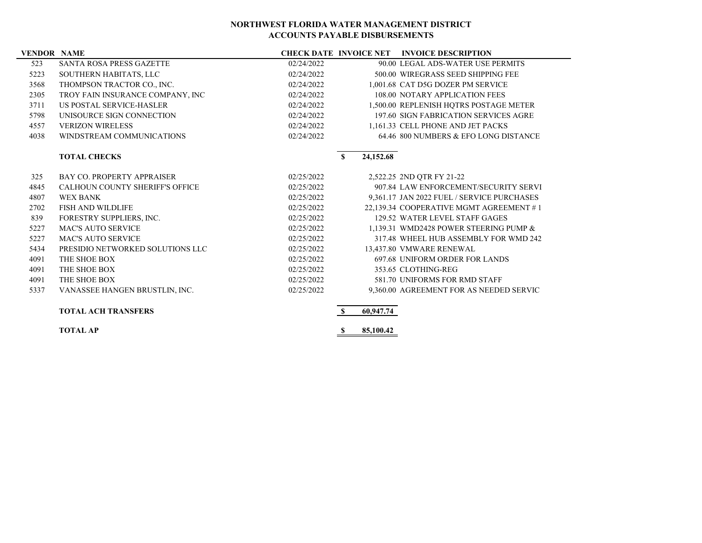### **VENDOR NAME CHECK DATE INVOICE NET INVOICE DESCRIPTION**

|      |                                        | енескрате поосевен |              |           |                                            |
|------|----------------------------------------|--------------------|--------------|-----------|--------------------------------------------|
| 523  | <b>SANTA ROSA PRESS GAZETTE</b>        | 02/24/2022         |              |           | 90.00 LEGAL ADS-WATER USE PERMITS          |
| 5223 | SOUTHERN HABITATS, LLC                 | 02/24/2022         |              |           | 500.00 WIREGRASS SEED SHIPPING FEE         |
| 3568 | THOMPSON TRACTOR CO., INC.             | 02/24/2022         |              |           | 1,001.68 CAT D5G DOZER PM SERVICE          |
| 2305 | TROY FAIN INSURANCE COMPANY, INC       | 02/24/2022         |              |           | 108.00 NOTARY APPLICATION FEES             |
| 3711 | US POSTAL SERVICE-HASLER               | 02/24/2022         |              |           | 1,500.00 REPLENISH HQTRS POSTAGE METER     |
| 5798 | UNISOURCE SIGN CONNECTION              | 02/24/2022         |              |           | 197.60 SIGN FABRICATION SERVICES AGRE      |
| 4557 | <b>VERIZON WIRELESS</b>                | 02/24/2022         |              |           | 1,161.33 CELL PHONE AND JET PACKS          |
| 4038 | WINDSTREAM COMMUNICATIONS              | 02/24/2022         |              |           | 64.46 800 NUMBERS & EFO LONG DISTANCE      |
|      | <b>TOTAL CHECKS</b>                    |                    | $\mathbf{s}$ | 24,152.68 |                                            |
| 325  | <b>BAY CO. PROPERTY APPRAISER</b>      | 02/25/2022         |              |           | 2,522.25 2ND QTR FY 21-22                  |
| 4845 | <b>CALHOUN COUNTY SHERIFF'S OFFICE</b> | 02/25/2022         |              |           | 907.84 LAW ENFORCEMENT/SECURITY SERVI      |
| 4807 | <b>WEX BANK</b>                        | 02/25/2022         |              |           | 9,361.17 JAN 2022 FUEL / SERVICE PURCHASES |
| 2702 | <b>FISH AND WILDLIFE</b>               | 02/25/2022         |              |           | 22,139.34 COOPERATIVE MGMT AGREEMENT #1    |
| 839  | FORESTRY SUPPLIERS, INC.               | 02/25/2022         |              |           | 129.52 WATER LEVEL STAFF GAGES             |
| 5227 | <b>MAC'S AUTO SERVICE</b>              | 02/25/2022         |              |           | 1,139.31 WMD2428 POWER STEERING PUMP &     |
| 5227 | <b>MAC'S AUTO SERVICE</b>              | 02/25/2022         |              |           | 317.48 WHEEL HUB ASSEMBLY FOR WMD 242      |
| 5434 | PRESIDIO NETWORKED SOLUTIONS LLC       | 02/25/2022         |              |           | 13,437.80 VMWARE RENEWAL                   |
| 4091 | THE SHOE BOX                           | 02/25/2022         |              |           | <b>697.68 UNIFORM ORDER FOR LANDS</b>      |
| 4091 | THE SHOE BOX                           | 02/25/2022         |              |           | 353.65 CLOTHING-REG                        |
| 4091 | THE SHOE BOX                           | 02/25/2022         |              |           | 581.70 UNIFORMS FOR RMD STAFF              |
| 5337 | VANASSEE HANGEN BRUSTLIN, INC.         | 02/25/2022         |              |           | 9,360.00 AGREEMENT FOR AS NEEDED SERVIC    |
|      | <b>TOTAL ACH TRANSFERS</b>             |                    | $\mathbf{s}$ | 60,947.74 |                                            |

**TOTAL AP \$** 85,100.42